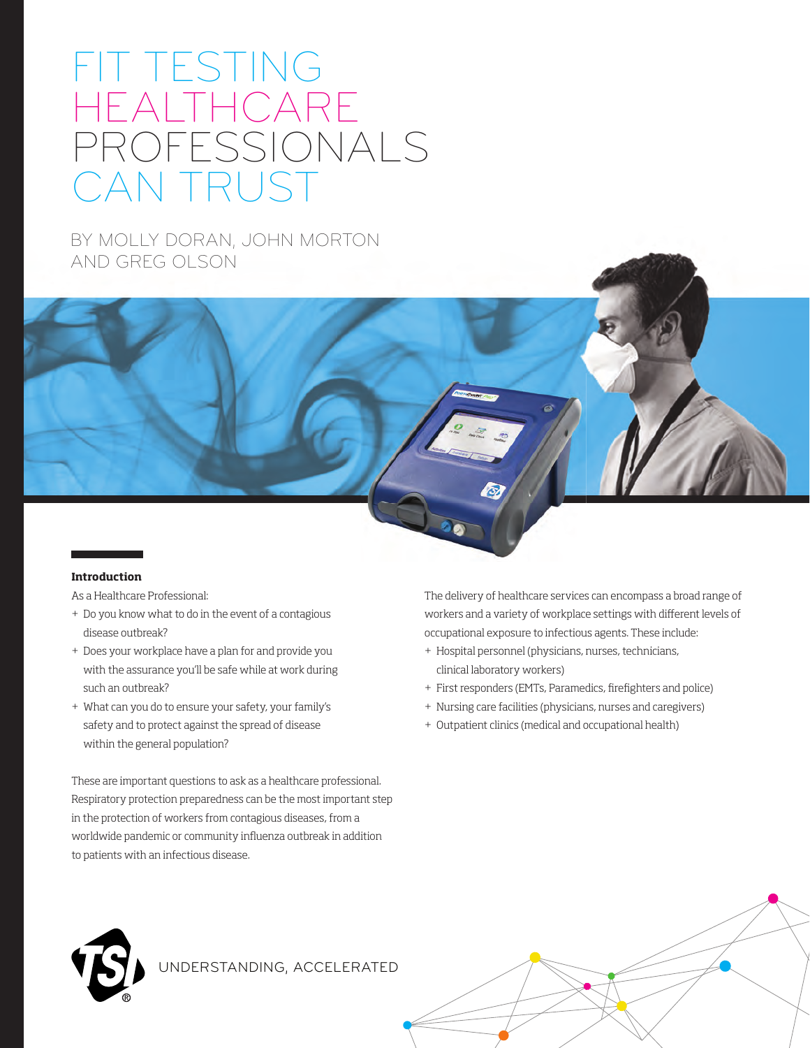# FIT TESTING HEALTHCARE PROFESSIONALS CAN TRUST

BY MOLLY DORAN, JOHN MORTON AND GREG OLSON

### **Introduction**

As a Healthcare Professional:

- + Do you know what to do in the event of a contagious disease outbreak?
- + Does your workplace have a plan for and provide you with the assurance you'll be safe while at work during such an outbreak?
- + What can you do to ensure your safety, your family's safety and to protect against the spread of disease within the general population?

These are important questions to ask as a healthcare professional. Respiratory protection preparedness can be the most important step in the protection of workers from contagious diseases, from a worldwide pandemic or community influenza outbreak in addition to patients with an infectious disease.

The delivery of healthcare services can encompass a broad range of workers and a variety of workplace settings with different levels of occupational exposure to infectious agents. These include:

- + Hospital personnel (physicians, nurses, technicians, clinical laboratory workers)
- + First responders (EMTs, Paramedics, firefighters and police)
- + Nursing care facilities (physicians, nurses and caregivers)
- + Outpatient clinics (medical and occupational health)



UNDERSTANDING, ACCELERATED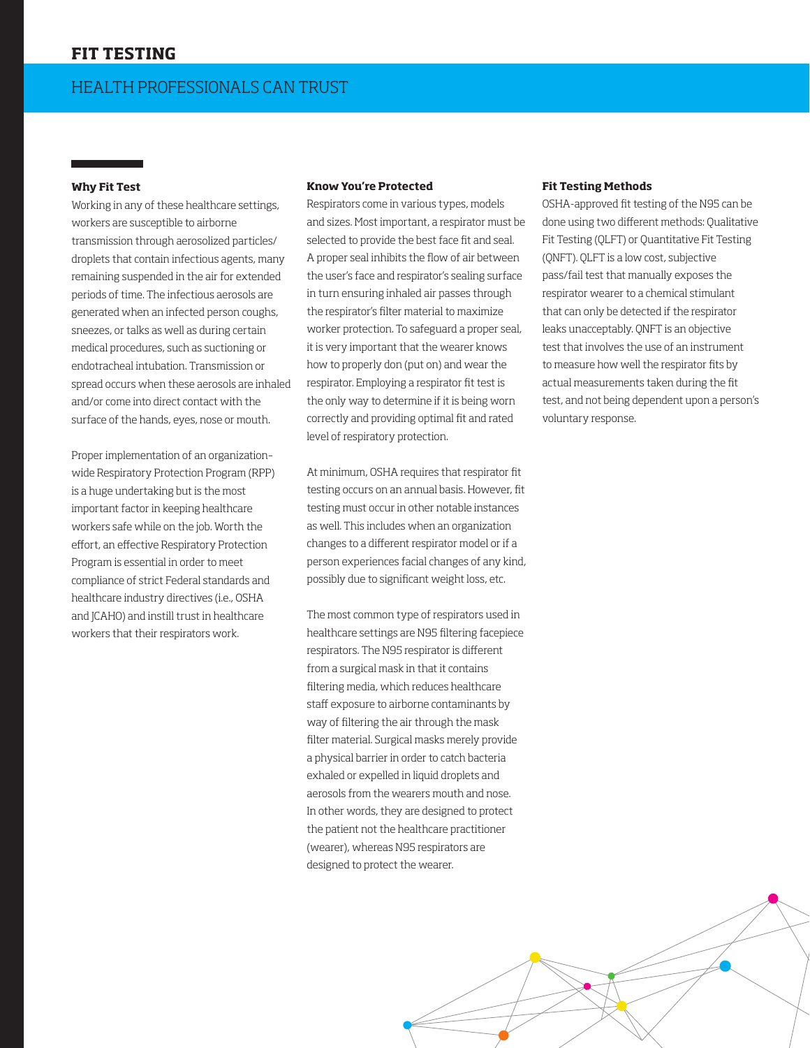# **FIT TESTING**

## **Why Fit Test**

Working in any of these healthcare settings, workers are susceptible to airborne transmission through aerosolized particles/ droplets that contain infectious agents, many remaining suspended in the air for extended periods of time. The infectious aerosols are generated when an infected person coughs, sneezes, or talks as well as during certain medical procedures, such as suctioning or endotracheal intubation. Transmission or spread occurs when these aerosols are inhaled and/or come into direct contact with the surface of the hands, eyes, nose or mouth.

Proper implementation of an organization– wide Respiratory Protection Program (RPP) is a huge undertaking but is the most important factor in keeping healthcare workers safe while on the job. Worth the effort, an effective Respiratory Protection Program is essential in order to meet compliance of strict Federal standards and healthcare industry directives (i.e., OSHA and JCAHO) and instill trust in healthcare workers that their respirators work.

#### **Know You're Protected**

Respirators come in various types, models and sizes. Most important, a respirator must be selected to provide the best face fit and seal. A proper seal inhibits the flow of air between the user's face and respirator's sealing surface in turn ensuring inhaled air passes through the respirator's filter material to maximize worker protection. To safeguard a proper seal, it is very important that the wearer knows how to properly don (put on) and wear the respirator. Employing a respirator fit test is the only way to determine if it is being worn correctly and providing optimal fit and rated level of respiratory protection.

At minimum, OSHA requires that respirator fit testing occurs on an annual basis. However, fit testing must occur in other notable instances as well. This includes when an organization changes to a different respirator model or if a person experiences facial changes of any kind, possibly due to significant weight loss, etc.

The most common type of respirators used in healthcare settings are N95 filtering facepiece respirators. The N95 respirator is different from a surgical mask in that it contains filtering media, which reduces healthcare staff exposure to airborne contaminants by way of filtering the air through the mask filter material. Surgical masks merely provide a physical barrier in order to catch bacteria exhaled or expelled in liquid droplets and aerosols from the wearers mouth and nose. In other words, they are designed to protect the patient not the healthcare practitioner (wearer), whereas N95 respirators are designed to protect the wearer.

#### **Fit Testing Methods**

OSHA-approved fit testing of the N95 can be done using two different methods: Qualitative Fit Testing (QLFT) or Quantitative Fit Testing (QNFT). QLFT is a low cost, subjective pass/fail test that manually exposes the respirator wearer to a chemical stimulant that can only be detected if the respirator leaks unacceptably. QNFT is an objective test that involves the use of an instrument to measure how well the respirator fits by actual measurements taken during the fit test, and not being dependent upon a person's voluntary response.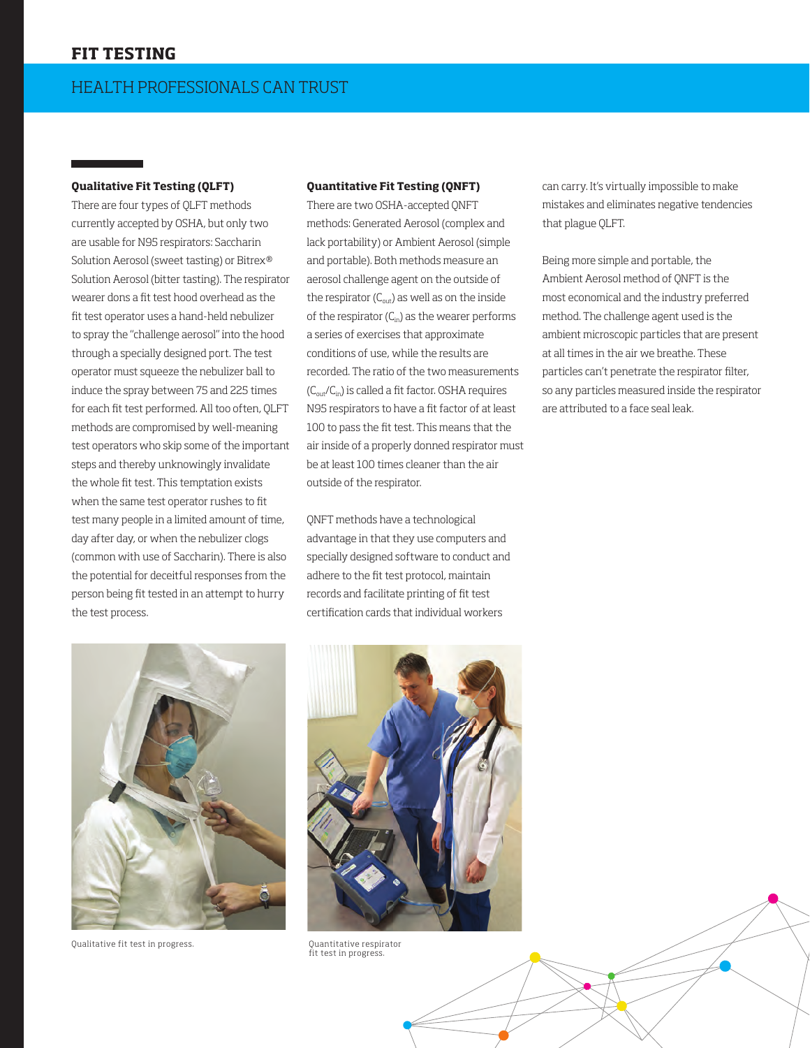## **Qualitative Fit Testing (QLFT)**

There are four types of QLFT methods currently accepted by OSHA, but only two are usable for N95 respirators: Saccharin Solution Aerosol (sweet tasting) or Bitrex® Solution Aerosol (bitter tasting). The respirator wearer dons a fit test hood overhead as the fit test operator uses a hand-held nebulizer to spray the "challenge aerosol" into the hood through a specially designed port. The test operator must squeeze the nebulizer ball to induce the spray between 75 and 225 times for each fit test performed. All too often, QLFT methods are compromised by well-meaning test operators who skip some of the important steps and thereby unknowingly invalidate the whole fit test. This temptation exists when the same test operator rushes to fit test many people in a limited amount of time, day after day, or when the nebulizer clogs (common with use of Saccharin). There is also the potential for deceitful responses from the person being fit tested in an attempt to hurry the test process.

# **Quantitative Fit Testing (QNFT)**

There are two OSHA-accepted QNFT methods: Generated Aerosol (complex and lack portability) or Ambient Aerosol (simple and portable). Both methods measure an aerosol challenge agent on the outside of the respirator  $(C_{\text{out}})$  as well as on the inside of the respirator  $(C_{in})$  as the wearer performs a series of exercises that approximate conditions of use, while the results are recorded. The ratio of the two measurements  $(C_{out}/C_{in})$  is called a fit factor. OSHA requires N95 respirators to have a fit factor of at least 100 to pass the fit test. This means that the air inside of a properly donned respirator must be at least 100 times cleaner than the air outside of the respirator.

QNFT methods have a technological advantage in that they use computers and specially designed software to conduct and adhere to the fit test protocol, maintain records and facilitate printing of fit test certification cards that individual workers

can carry. It's virtually impossible to make mistakes and eliminates negative tendencies that plague QLFT.

Being more simple and portable, the Ambient Aerosol method of QNFT is the most economical and the industry preferred method. The challenge agent used is the ambient microscopic particles that are present at all times in the air we breathe. These particles can't penetrate the respirator filter, so any particles measured inside the respirator are attributed to a face seal leak.



Qualitative fit test in progress. Quantitative respirator



fit test in progress.